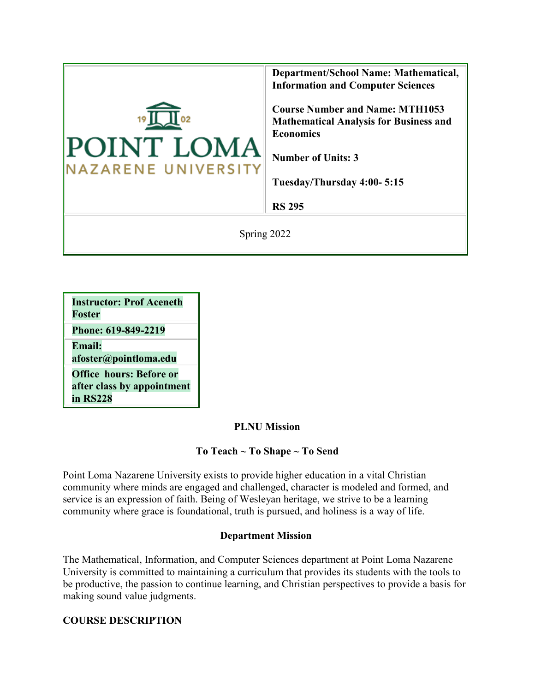

| <b>Instructor: Prof Aceneth</b> |
|---------------------------------|
| Foster                          |
| Phone: 619-849-2219             |
| <b>Email:</b>                   |
| afoster@pointloma.edu           |

**Office hours: Before or after class by appointment in RS228**

### **PLNU Mission**

### **To Teach ~ To Shape ~ To Send**

Point Loma Nazarene University exists to provide higher education in a vital Christian community where minds are engaged and challenged, character is modeled and formed, and service is an expression of faith. Being of Wesleyan heritage, we strive to be a learning community where grace is foundational, truth is pursued, and holiness is a way of life.

### **Department Mission**

The Mathematical, Information, and Computer Sciences department at Point Loma Nazarene University is committed to maintaining a curriculum that provides its students with the tools to be productive, the passion to continue learning, and Christian perspectives to provide a basis for making sound value judgments.

### **COURSE DESCRIPTION**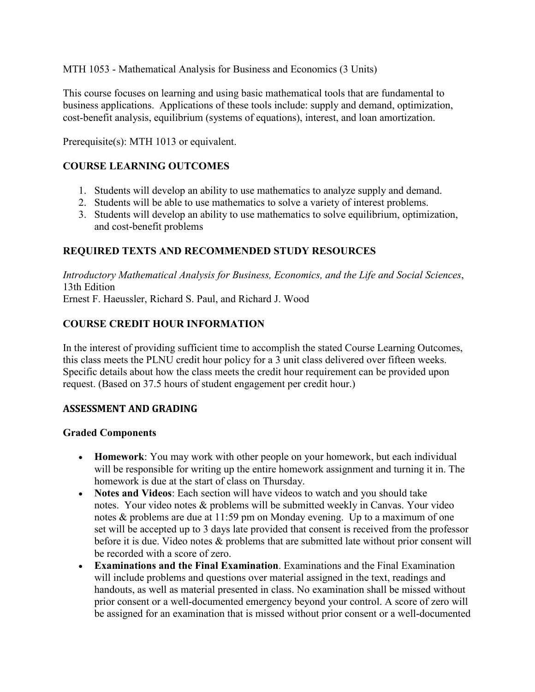MTH 1053 - Mathematical Analysis for Business and Economics (3 Units)

This course focuses on learning and using basic mathematical tools that are fundamental to business applications. Applications of these tools include: supply and demand, optimization, cost-benefit analysis, equilibrium (systems of equations), interest, and loan amortization.

Prerequisite(s): MTH 1013 or equivalent.

## **COURSE LEARNING OUTCOMES**

- 1. Students will develop an ability to use mathematics to analyze supply and demand.
- 2. Students will be able to use mathematics to solve a variety of interest problems.
- 3. Students will develop an ability to use mathematics to solve equilibrium, optimization, and cost-benefit problems

#### **REQUIRED TEXTS AND RECOMMENDED STUDY RESOURCES**

*Introductory Mathematical Analysis for Business, Economics, and the Life and Social Sciences*, 13th Edition

Ernest F. Haeussler, Richard S. Paul, and Richard J. Wood

#### **COURSE CREDIT HOUR INFORMATION**

In the interest of providing sufficient time to accomplish the stated Course Learning Outcomes, this class meets the PLNU credit hour policy for a 3 unit class delivered over fifteen weeks. Specific details about how the class meets the credit hour requirement can be provided upon request. (Based on 37.5 hours of student engagement per credit hour.)

#### **ASSESSMENT AND GRADING**

#### **Graded Components**

- **Homework**: You may work with other people on your homework, but each individual will be responsible for writing up the entire homework assignment and turning it in. The homework is due at the start of class on Thursday.
- **Notes and Videos**: Each section will have videos to watch and you should take notes. Your video notes & problems will be submitted weekly in Canvas. Your video notes & problems are due at 11:59 pm on Monday evening. Up to a maximum of one set will be accepted up to 3 days late provided that consent is received from the professor before it is due. Video notes & problems that are submitted late without prior consent will be recorded with a score of zero.
- **Examinations and the Final Examination**. Examinations and the Final Examination will include problems and questions over material assigned in the text, readings and handouts, as well as material presented in class. No examination shall be missed without prior consent or a well-documented emergency beyond your control. A score of zero will be assigned for an examination that is missed without prior consent or a well-documented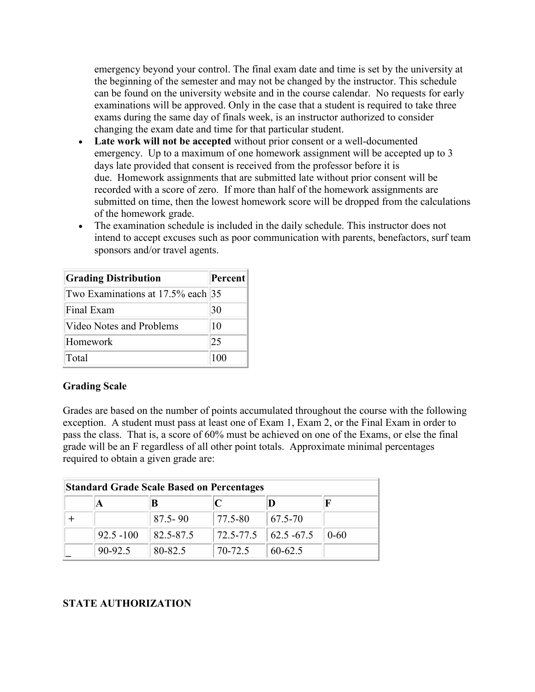emergency beyond your control. The final exam date and time is set by the university at the beginning of the semester and may not be changed by the instructor. This schedule can be found on the university website and in the course calendar. No requests for early examinations will be approved. Only in the case that a student is required to take three exams during the same day of finals week, is an instructor authorized to consider changing the exam date and time for that particular student.

- **Late work will not be accepted** without prior consent or a well-documented emergency. Up to a maximum of one homework assignment will be accepted up to 3 days late provided that consent is received from the professor before it is due. Homework assignments that are submitted late without prior consent will be recorded with a score of zero. If more than half of the homework assignments are submitted on time, then the lowest homework score will be dropped from the calculations of the homework grade.
- The examination schedule is included in the daily schedule. This instructor does not intend to accept excuses such as poor communication with parents, benefactors, surf team sponsors and/or travel agents.

| <b>Grading Distribution</b>       | Percent |
|-----------------------------------|---------|
| Two Examinations at 17.5% each 35 |         |
| Final Exam                        | 30      |
| Video Notes and Problems          | 10      |
| Homework                          | 25      |
| Total                             | 100     |

### **Grading Scale**

Grades are based on the number of points accumulated throughout the course with the following exception. A student must pass at least one of Exam 1, Exam 2, or the Final Exam in order to pass the class. That is, a score of 60% must be achieved on one of the Exams, or else the final grade will be an F regardless of all other point totals. Approximate minimal percentages required to obtain a given grade are:

| <b>Standard Grade Scale Based on Percentages</b> |              |             |                 |                        |          |
|--------------------------------------------------|--------------|-------------|-----------------|------------------------|----------|
|                                                  |              |             |                 |                        |          |
|                                                  |              | $87.5 - 90$ | 77.5-80         | 67.5-70                |          |
|                                                  | $92.5 - 100$ | 82.5-87.5   | $ 72.5 - 77.5 $ | $\parallel$ 62.5 -67.5 | $0 - 60$ |
|                                                  | 90-92.5      | 80-82.5     | 70-72.5         | 60-62.5                |          |

### **STATE AUTHORIZATION**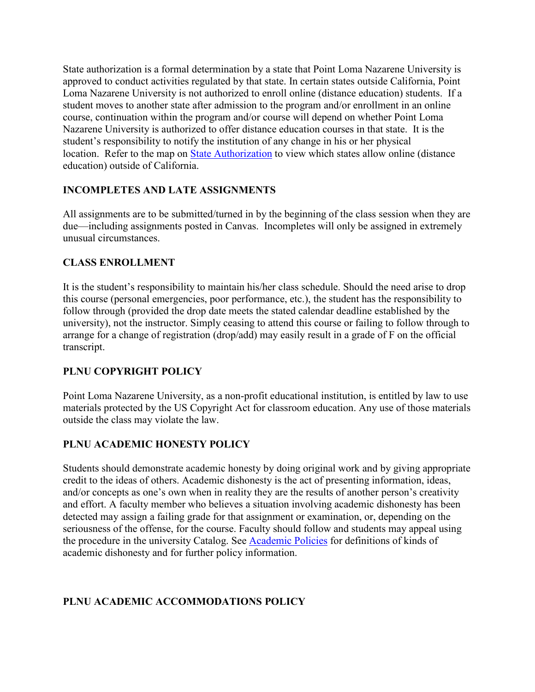State authorization is a formal determination by a state that Point Loma Nazarene University is approved to conduct activities regulated by that state. In certain states outside California, Point Loma Nazarene University is not authorized to enroll online (distance education) students. If a student moves to another state after admission to the program and/or enrollment in an online course, continuation within the program and/or course will depend on whether Point Loma Nazarene University is authorized to offer distance education courses in that state. It is the student's responsibility to notify the institution of any change in his or her physical location. Refer to the map on [State Authorization](https://www.pointloma.edu/offices/office-institutional-effectiveness-research/disclosures) to view which states allow online (distance education) outside of California.

## **INCOMPLETES AND LATE ASSIGNMENTS**

All assignments are to be submitted/turned in by the beginning of the class session when they are due—including assignments posted in Canvas. Incompletes will only be assigned in extremely unusual circumstances.

### **CLASS ENROLLMENT**

It is the student's responsibility to maintain his/her class schedule. Should the need arise to drop this course (personal emergencies, poor performance, etc.), the student has the responsibility to follow through (provided the drop date meets the stated calendar deadline established by the university), not the instructor. Simply ceasing to attend this course or failing to follow through to arrange for a change of registration (drop/add) may easily result in a grade of F on the official transcript.

# **PLNU COPYRIGHT POLICY**

Point Loma Nazarene University, as a non-profit educational institution, is entitled by law to use materials protected by the US Copyright Act for classroom education. Any use of those materials outside the class may violate the law.

# **PLNU ACADEMIC HONESTY POLICY**

Students should demonstrate academic honesty by doing original work and by giving appropriate credit to the ideas of others. Academic dishonesty is the act of presenting information, ideas, and/or concepts as one's own when in reality they are the results of another person's creativity and effort. A faculty member who believes a situation involving academic dishonesty has been detected may assign a failing grade for that assignment or examination, or, depending on the seriousness of the offense, for the course. Faculty should follow and students may appeal using the procedure in the university Catalog. See [Academic Policies](http://catalog.pointloma.edu/content.php?catoid=18&navoid=1278) for definitions of kinds of academic dishonesty and for further policy information.

# **PLNU ACADEMIC ACCOMMODATIONS POLICY**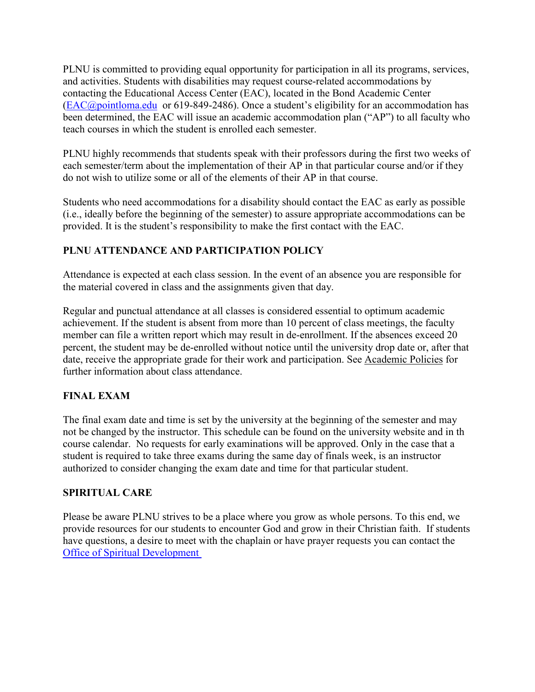PLNU is committed to providing equal opportunity for participation in all its programs, services, and activities. Students with disabilities may request course-related accommodations by contacting the Educational Access Center (EAC), located in the Bond Academic Center [\(EAC@pointloma.edu](https://mail.google.com/mail/?view=cm&fs=1&tf=1&to=EAC@pointloma.edu) or 619-849-2486). Once a student's eligibility for an accommodation has been determined, the EAC will issue an academic accommodation plan ("AP") to all faculty who teach courses in which the student is enrolled each semester.

PLNU highly recommends that students speak with their professors during the first two weeks of each semester/term about the implementation of their AP in that particular course and/or if they do not wish to utilize some or all of the elements of their AP in that course.

Students who need accommodations for a disability should contact the EAC as early as possible (i.e., ideally before the beginning of the semester) to assure appropriate accommodations can be provided. It is the student's responsibility to make the first contact with the EAC.

## **PLNU ATTENDANCE AND PARTICIPATION POLICY**

Attendance is expected at each class session. In the event of an absence you are responsible for the material covered in class and the assignments given that day.

Regular and punctual attendance at all classes is considered essential to optimum academic achievement. If the student is absent from more than 10 percent of class meetings, the faculty member can file a written report which may result in de-enrollment. If the absences exceed 20 percent, the student may be de-enrolled without notice until the university drop date or, after that date, receive the appropriate grade for their work and participation. See [Academic Policies](http://catalog.pointloma.edu/content.php?catoid=18&navoid=1278) for further information about class attendance.

# **FINAL EXAM**

The final exam date and time is set by the university at the beginning of the semester and may not be changed by the instructor. This schedule can be found on the university website and in th course calendar. No requests for early examinations will be approved. Only in the case that a student is required to take three exams during the same day of finals week, is an instructor authorized to consider changing the exam date and time for that particular student.

### **SPIRITUAL CARE**

Please be aware PLNU strives to be a place where you grow as whole persons. To this end, we provide resources for our students to encounter God and grow in their Christian faith. If students have questions, a desire to meet with the chaplain or have prayer requests you can contact the [Office of Spiritual Development](https://www.pointloma.edu/offices/spiritual-development)